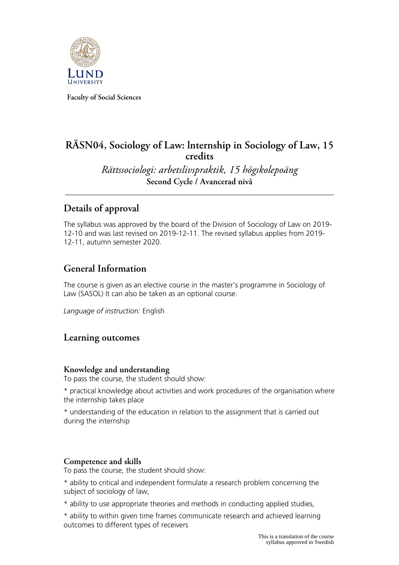

**Faculty of Social Sciences**

# **RÄSN04, Sociology of Law: lnternship in Sociology of Law, 15 credits**

*Rättssociologi: arbetslivspraktik, 15 högskolepoäng* **Second Cycle / Avancerad nivå**

# **Details of approval**

The syllabus was approved by the board of the Division of Sociology of Law on 2019- 12-10 and was last revised on 2019-12-11. The revised syllabus applies from 2019- 12-11, autumn semester 2020.

## **General Information**

The course is given as an elective course in the master's programme in Sociology of Law (SASOL) It can also be taken as an optional course.

*Language of instruction:* English

### **Learning outcomes**

#### **Knowledge and understanding**

To pass the course, the student should show:

\* practical knowledge about activities and work procedures of the organisation where the internship takes place

\* understanding of the education in relation to the assignment that is carried out during the internship

### **Competence and skills**

To pass the course, the student should show:

\* ability to critical and independent formulate a research problem concerning the subject of sociology of law,

\* ability to use appropriate theories and methods in conducting applied studies,

\* ability to within given time frames communicate research and achieved learning outcomes to different types of receivers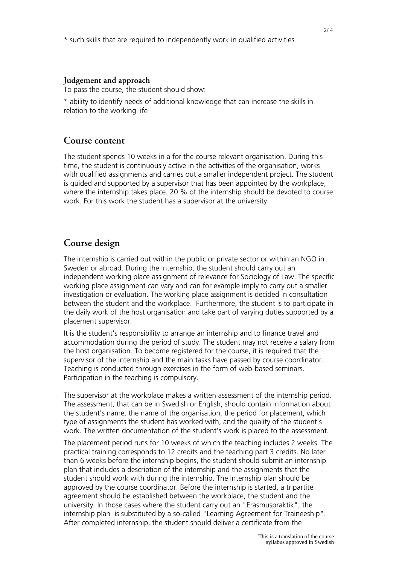#### **Judgement and approach**

To pass the course, the student should show:

\* ability to identify needs of additional knowledge that can increase the skills in relation to the working life

### **Course content**

The student spends 10 weeks in a for the course relevant organisation. During this time, the student is continuously active in the activities of the organisation, works with qualified assignments and carries out a smaller independent project. The student is guided and supported by a supervisor that has been appointed by the workplace, where the internship takes place. 20 % of the internship should be devoted to course work. For this work the student has a supervisor at the university.

### **Course design**

The internship is carried out within the public or private sector or within an NGO in Sweden or abroad. During the internship, the student should carry out an independent working place assignment of relevance for Sociology of Law. The specific working place assignment can vary and can for example imply to carry out a smaller investigation or evaluation. The working place assignment is decided in consultation between the student and the workplace. Furthermore, the student is to participate in the daily work of the host organisation and take part of varying duties supported by a placement supervisor.

It is the student's responsibility to arrange an internship and to finance travel and accommodation during the period of study. The student may not receive a salary from the host organisation. To become registered for the course, it is required that the supervisor of the internship and the main tasks have passed by course coordinator. Teaching is conducted through exercises in the form of web-based seminars. Participation in the teaching is compulsory.

The supervisor at the workplace makes a written assessment of the internship period. The assessment, that can be in Swedish or English, should contain information about the student's name, the name of the organisation, the period for placement, which type of assignments the student has worked with, and the quality of the student's work. The written documentation of the student's work is placed to the assessment.

The placement period runs for 10 weeks of which the teaching includes 2 weeks. The practical training corresponds to 12 credits and the teaching part 3 credits. No later than 6 weeks before the internship begins, the student should submit an internship plan that includes a description of the internship and the assignments that the student should work with during the internship. The internship plan should be approved by the course coordinator. Before the internship is started, a tripartite agreement should be established between the workplace, the student and the university. In those cases where the student carry out an "Erasmuspraktik", the internship plan is substituted by a so-called "Learning Agreement for Traineeship". After completed internship, the student should deliver a certificate from the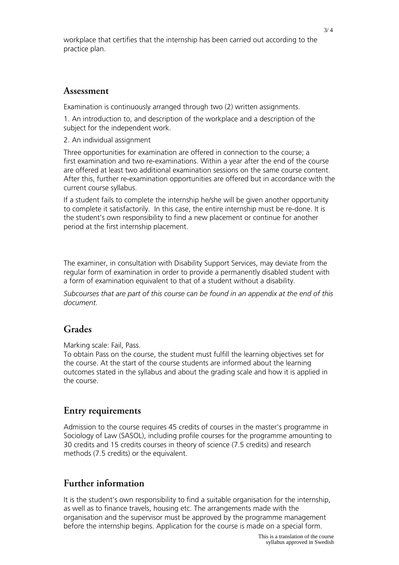workplace that certifies that the internship has been carried out according to the practice plan.

#### **Assessment**

Examination is continuously arranged through two (2) written assignments.

1. An introduction to, and description of the workplace and a description of the subject for the independent work.

2. An individual assignment

Three opportunities for examination are offered in connection to the course; a first examination and two re-examinations. Within a year after the end of the course are offered at least two additional examination sessions on the same course content. After this, further re-examination opportunities are offered but in accordance with the current course syllabus.

If a student fails to complete the internship he/she will be given another opportunity to complete it satisfactorily. In this case, the entire internship must be re-done. It is the student's own responsibility to find a new placement or continue for another period at the first internship placement.

The examiner, in consultation with Disability Support Services, may deviate from the regular form of examination in order to provide a permanently disabled student with a form of examination equivalent to that of a student without a disability.

*Subcourses that are part of this course can be found in an appendix at the end of this document.*

## **Grades**

Marking scale: Fail, Pass.

To obtain Pass on the course, the student must fulfill the learning objectives set for the course. At the start of the course students are informed about the learning outcomes stated in the syllabus and about the grading scale and how it is applied in the course.

### **Entry requirements**

Admission to the course requires 45 credits of courses in the master's programme in Sociology of Law (SASOL), including profile courses for the programme amounting to 30 credits and 15 credits courses in theory of science (7.5 credits) and research methods (7.5 credits) or the equivalent.

## **Further information**

It is the student's own responsibility to find a suitable organisation for the internship, as well as to finance travels, housing etc. The arrangements made with the organisation and the supervisor must be approved by the programme management before the internship begins. Application for the course is made on a special form.